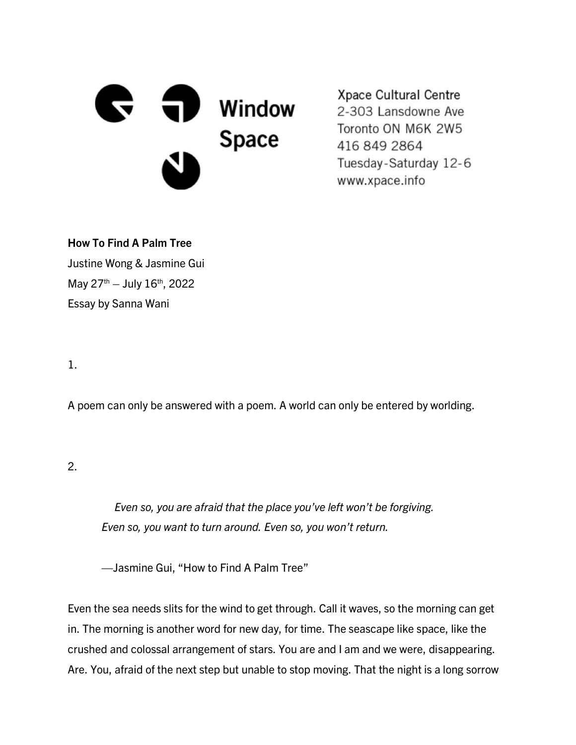

Xpace Cultural Centre 2-303 Lansdowne Ave Toronto ON M6K 2W5 416 849 2864 Tuesday-Saturday 12-6 www.xpace.info

How To Find A Palm Tree

Justine Wong & Jasmine Gui May  $27^{th}$  – July  $16^{th}$ , 2022 Essay by Sanna Wani

1.

A poem can only be answered with a poem. A world can only be entered by worlding.

2.

 *Even so, you are afraid that the place you've left won't be forgiving. Even so, you want to turn around. Even so, you won't return.*

—Jasmine Gui, "How to Find A Palm Tree"

Even the sea needs slits for the wind to get through. Call it waves, so the morning can get in. The morning is another word for new day, for time. The seascape like space, like the crushed and colossal arrangement of stars. You are and I am and we were, disappearing. Are. You, afraid of the next step but unable to stop moving. That the night is a long sorrow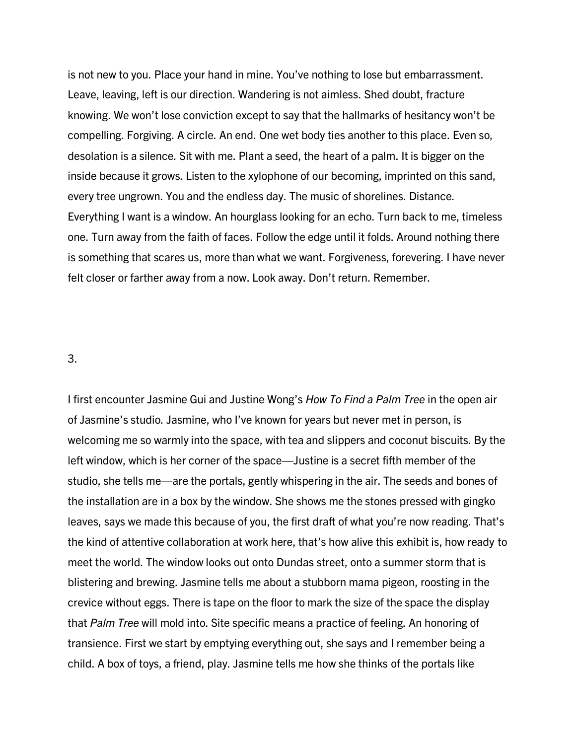is not new to you. Place your hand in mine. You've nothing to lose but embarrassment. Leave, leaving, left is our direction. Wandering is not aimless. Shed doubt, fracture knowing. We won't lose conviction except to say that the hallmarks of hesitancy won't be compelling. Forgiving. A circle. An end. One wet body ties another to this place. Even so, desolation is a silence. Sit with me. Plant a seed, the heart of a palm. It is bigger on the inside because it grows. Listen to the xylophone of our becoming, imprinted on this sand, every tree ungrown. You and the endless day. The music of shorelines. Distance. Everything I want is a window. An hourglass looking for an echo. Turn back to me, timeless one. Turn away from the faith of faces. Follow the edge until it folds. Around nothing there is something that scares us, more than what we want. Forgiveness, forevering. I have never felt closer or farther away from a now. Look away. Don't return. Remember.

3.

I first encounter Jasmine Gui and Justine Wong's *How To Find a Palm Tree* in the open air of Jasmine's studio. Jasmine, who I've known for years but never met in person, is welcoming me so warmly into the space, with tea and slippers and coconut biscuits. By the left window, which is her corner of the space—Justine is a secret fifth member of the studio, she tells me—are the portals, gently whispering in the air. The seeds and bones of the installation are in a box by the window. She shows me the stones pressed with gingko leaves, says we made this because of you, the first draft of what you're now reading. That's the kind of attentive collaboration at work here, that's how alive this exhibit is, how ready to meet the world. The window looks out onto Dundas street, onto a summer storm that is blistering and brewing. Jasmine tells me about a stubborn mama pigeon, roosting in the crevice without eggs. There is tape on the floor to mark the size of the space the display that *Palm Tree* will mold into. Site specific means a practice of feeling. An honoring of transience. First we start by emptying everything out, she says and I remember being a child. A box of toys, a friend, play. Jasmine tells me how she thinks of the portals like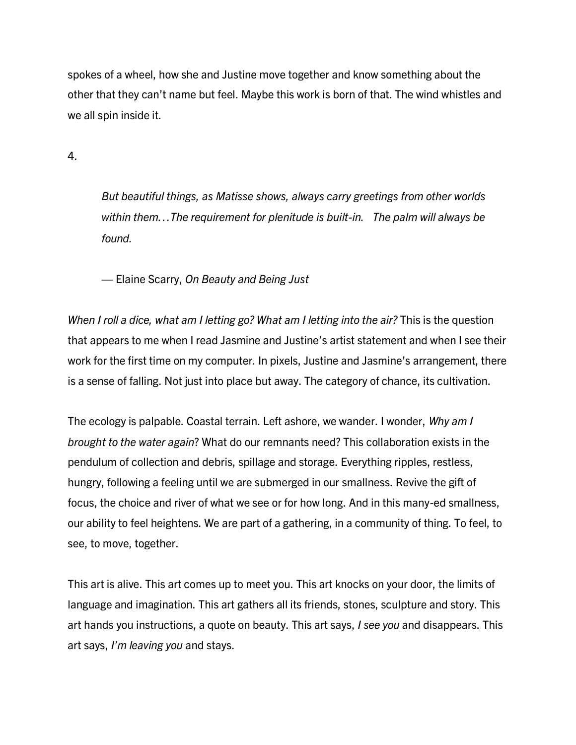spokes of a wheel, how she and Justine move together and know something about the other that they can't name but feel. Maybe this work is born of that. The wind whistles and we all spin inside it.

4.

*But beautiful things, as Matisse shows, always carry greetings from other worlds within them…The requirement for plenitude is built-in. The palm will always be found.*

— Elaine Scarry, *On Beauty and Being Just*

*When I roll a dice, what am I letting go? What am I letting into the air?* This is the question that appears to me when I read Jasmine and Justine's artist statement and when I see their work for the first time on my computer. In pixels, Justine and Jasmine's arrangement, there is a sense of falling. Not just into place but away. The category of chance, its cultivation.

The ecology is palpable. Coastal terrain. Left ashore, we wander. I wonder, *Why am I brought to the water again*? What do our remnants need? This collaboration exists in the pendulum of collection and debris, spillage and storage. Everything ripples, restless, hungry, following a feeling until we are submerged in our smallness. Revive the gift of focus, the choice and river of what we see or for how long. And in this many-ed smallness, our ability to feel heightens. We are part of a gathering, in a community of thing. To feel, to see, to move, together.

This art is alive. This art comes up to meet you. This art knocks on your door, the limits of language and imagination. This art gathers all its friends, stones, sculpture and story. This art hands you instructions, a quote on beauty. This art says, *I see you* and disappears. This art says, *I'm leaving you* and stays.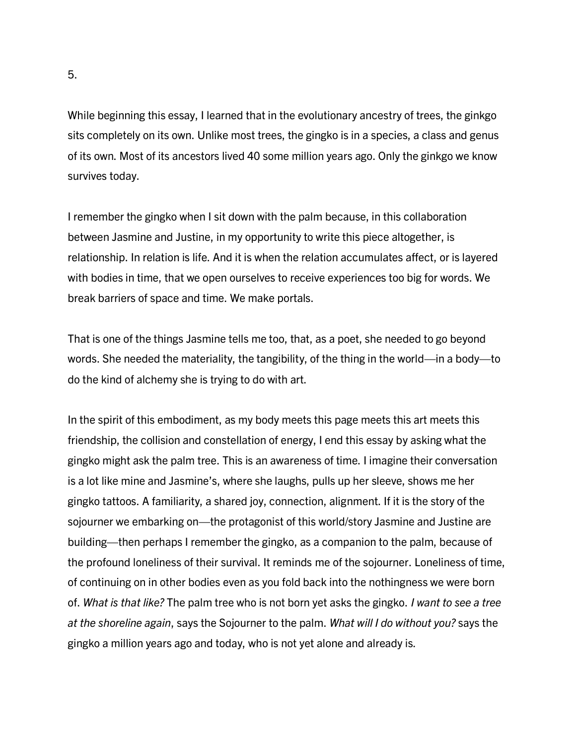While beginning this essay, I learned that in the evolutionary ancestry of trees, the ginkgo sits completely on its own. Unlike most trees, the gingko is in a species, a class and genus of its own. Most of its ancestors lived 40 some million years ago. Only the ginkgo we know survives today.

I remember the gingko when I sit down with the palm because, in this collaboration between Jasmine and Justine, in my opportunity to write this piece altogether, is relationship. In relation is life. And it is when the relation accumulates affect, or is layered with bodies in time, that we open ourselves to receive experiences too big for words. We break barriers of space and time. We make portals.

That is one of the things Jasmine tells me too, that, as a poet, she needed to go beyond words. She needed the materiality, the tangibility, of the thing in the world—in a body—to do the kind of alchemy she is trying to do with art.

In the spirit of this embodiment, as my body meets this page meets this art meets this friendship, the collision and constellation of energy, I end this essay by asking what the gingko might ask the palm tree. This is an awareness of time. I imagine their conversation is a lot like mine and Jasmine's, where she laughs, pulls up her sleeve, shows me her gingko tattoos. A familiarity, a shared joy, connection, alignment. If it is the story of the sojourner we embarking on—the protagonist of this world/story Jasmine and Justine are building—then perhaps I remember the gingko, as a companion to the palm, because of the profound loneliness of their survival. It reminds me of the sojourner. Loneliness of time, of continuing on in other bodies even as you fold back into the nothingness we were born of. *What is that like?* The palm tree who is not born yet asks the gingko. *I want to see a tree at the shoreline again*, says the Sojourner to the palm. *What will I do without you?* says the gingko a million years ago and today, who is not yet alone and already is.

5.